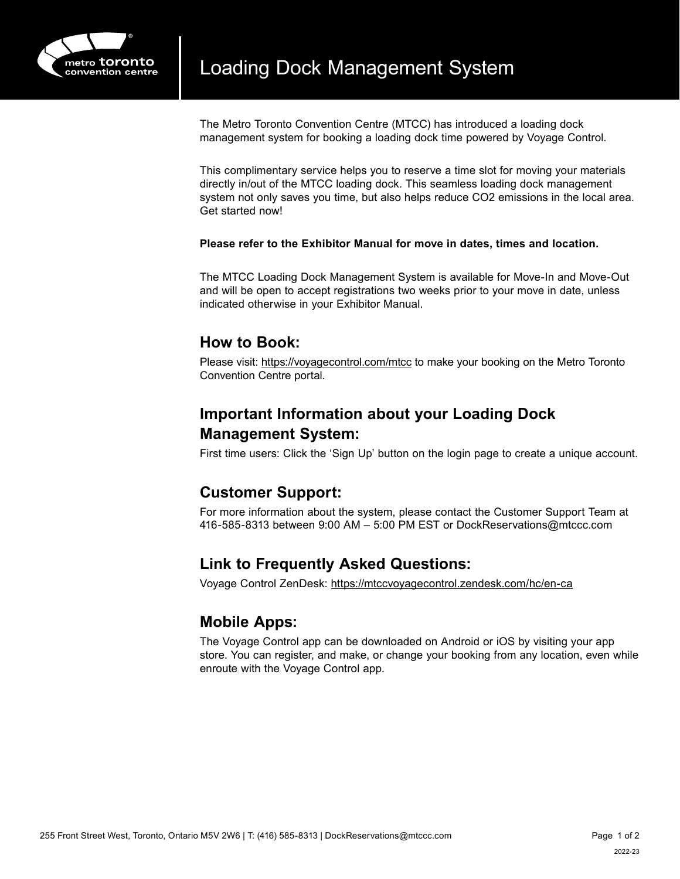

The Metro Toronto Convention Centre (MTCC) has introduced a loading dock management system for booking a loading dock time powered by Voyage Control.

This complimentary service helps you to reserve a time slot for moving your materials directly in/out of the MTCC loading dock. This seamless loading dock management system not only saves you time, but also helps reduce CO2 emissions in the local area. Get started now!

#### **Please refer to the Exhibitor Manual for move in dates, times and location.**

The MTCC Loading Dock Management System is available for Move-In and Move-Out and will be open to accept registrations two weeks prior to your move in date, unless indicated otherwise in your Exhibitor Manual.

## **How to Book:**

Please visit:<https://voyagecontrol.com/mtcc>to make your booking on the Metro Toronto Convention Centre portal.

# **Important Information about your Loading Dock Management System:**

First time users: Click the 'Sign Up' button on the login page to create a unique account.

### **Customer Support:**

For more information about the system, please contact the Customer Support Team at 416-585-8313 between 9:00 AM – 5:00 PM EST or DockReservations@mtccc.com

## **Link to Frequently Asked Questions:**

Voyage Control ZenDesk: <https://mtccvoyagecontrol.zendesk.com/hc/en-ca>

### **Mobile Apps:**

The Voyage Control app can be downloaded on Android or iOS by visiting your app store. You can register, and make, or change your booking from any location, even while enroute with the Voyage Control app.